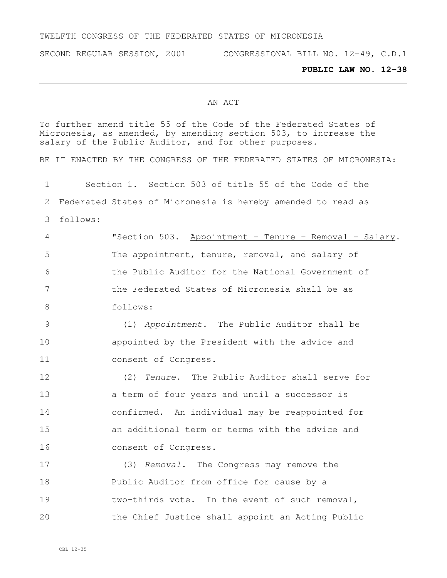### TWELFTH CONGRESS OF THE FEDERATED STATES OF MICRONESIA

SECOND REGULAR SESSION, 2001 CONGRESSIONAL BILL NO. 12-49, C.D.1

#### **PUBLIC LAW NO. 12-38**

### AN ACT

To further amend title 55 of the Code of the Federated States of Micronesia, as amended, by amending section 503, to increase the salary of the Public Auditor, and for other purposes. BE IT ENACTED BY THE CONGRESS OF THE FEDERATED STATES OF MICRONESIA: Section 1. Section 503 of title 55 of the Code of the Federated States of Micronesia is hereby amended to read as follows: "Section 503. Appointment - Tenure – Removal - Salary. The appointment, tenure, removal, and salary of the Public Auditor for the National Government of the Federated States of Micronesia shall be as follows: (1) *Appointment.* The Public Auditor shall be appointed by the President with the advice and consent of Congress. (2) *Tenure.* The Public Auditor shall serve for a term of four years and until a successor is confirmed. An individual may be reappointed for an additional term or terms with the advice and consent of Congress. (3) *Removal.* The Congress may remove the Public Auditor from office for cause by a two-thirds vote. In the event of such removal, the Chief Justice shall appoint an Acting Public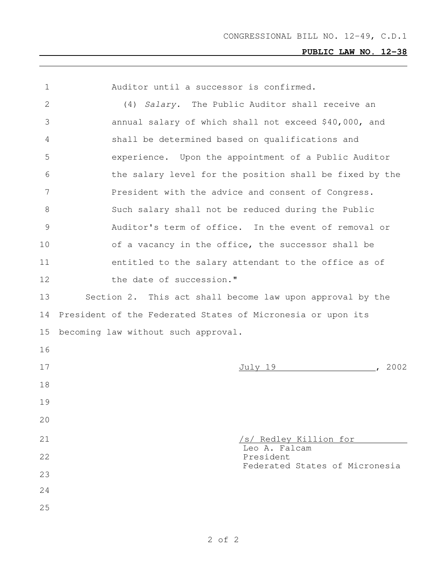# **PUBLIC LAW NO. 12-38**

| 1  | Auditor until a successor is confirmed.                     |
|----|-------------------------------------------------------------|
| 2  | (4) Salary. The Public Auditor shall receive an             |
| 3  | annual salary of which shall not exceed \$40,000, and       |
| 4  | shall be determined based on qualifications and             |
| 5  | experience. Upon the appointment of a Public Auditor        |
| 6  | the salary level for the position shall be fixed by the     |
| 7  | President with the advice and consent of Congress.          |
| 8  | Such salary shall not be reduced during the Public          |
| 9  | Auditor's term of office. In the event of removal or        |
| 10 | of a vacancy in the office, the successor shall be          |
| 11 | entitled to the salary attendant to the office as of        |
| 12 | the date of succession."                                    |
| 13 | Section 2. This act shall become law upon approval by the   |
| 14 | President of the Federated States of Micronesia or upon its |
| 15 | becoming law without such approval.                         |
| 16 |                                                             |
| 17 | , 2002<br><u>July 19</u>                                    |
| 18 |                                                             |
| 19 |                                                             |
| 20 |                                                             |
| 21 | /s/ Redley Killion for                                      |
| 22 | Leo A. Falcam<br>President                                  |
| 23 | Federated States of Micronesia                              |
| 24 |                                                             |
| 25 |                                                             |